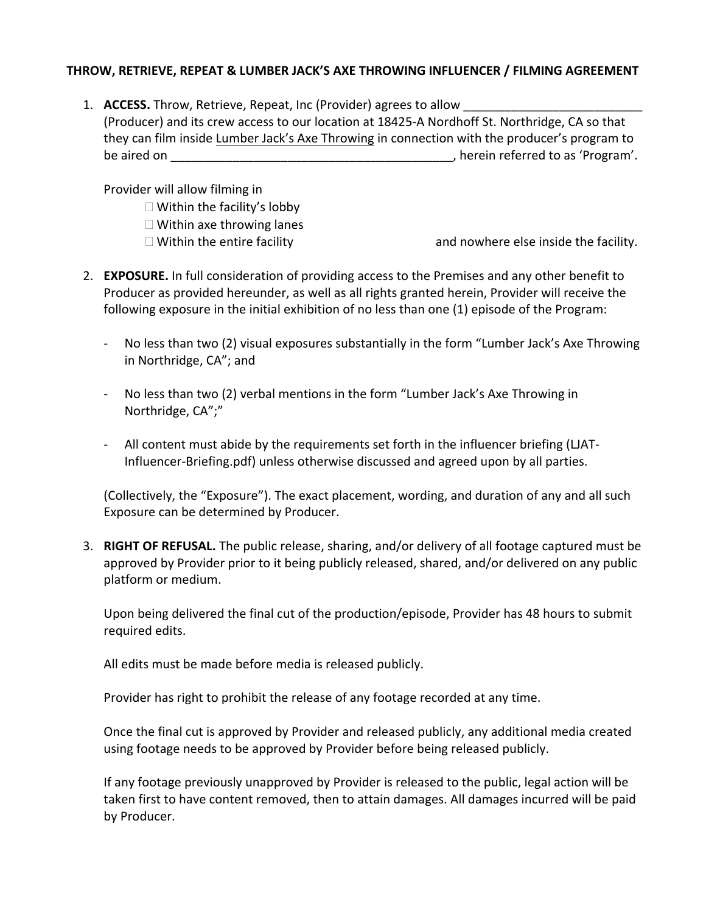## **THROW, RETRIEVE, REPEAT & LUMBER JACK'S AXE THROWING INFLUENCER / FILMING AGREEMENT**

1. **ACCESS.** Throw, Retrieve, Repeat, Inc (Provider) agrees to allow (Producer) and its crew access to our location at 18425-A Nordhoff St. Northridge, CA so that they can film inside Lumber Jack's Axe Throwing in connection with the producer's program to be aired on  $\blacksquare$  be aired on  $\blacksquare$ 

Provider will allow filming in

- $\square$  Within the facility's lobby
- $\Box$  Within axe throwing lanes
- 

 $\Box$  Within the entire facility  $\Box$  and nowhere else inside the facility.

- 2. **EXPOSURE.** In full consideration of providing access to the Premises and any other benefit to Producer as provided hereunder, as well as all rights granted herein, Provider will receive the following exposure in the initial exhibition of no less than one (1) episode of the Program:
	- No less than two (2) visual exposures substantially in the form "Lumber Jack's Axe Throwing in Northridge, CA"; and
	- No less than two (2) verbal mentions in the form "Lumber Jack's Axe Throwing in Northridge, CA";"
	- All content must abide by the requirements set forth in the influencer briefing (LJAT-Influencer-Briefing.pdf) unless otherwise discussed and agreed upon by all parties.

(Collectively, the "Exposure"). The exact placement, wording, and duration of any and all such Exposure can be determined by Producer.

3. **RIGHT OF REFUSAL.** The public release, sharing, and/or delivery of all footage captured must be approved by Provider prior to it being publicly released, shared, and/or delivered on any public platform or medium.

Upon being delivered the final cut of the production/episode, Provider has 48 hours to submit required edits.

All edits must be made before media is released publicly.

Provider has right to prohibit the release of any footage recorded at any time.

Once the final cut is approved by Provider and released publicly, any additional media created using footage needs to be approved by Provider before being released publicly.

If any footage previously unapproved by Provider is released to the public, legal action will be taken first to have content removed, then to attain damages. All damages incurred will be paid by Producer.